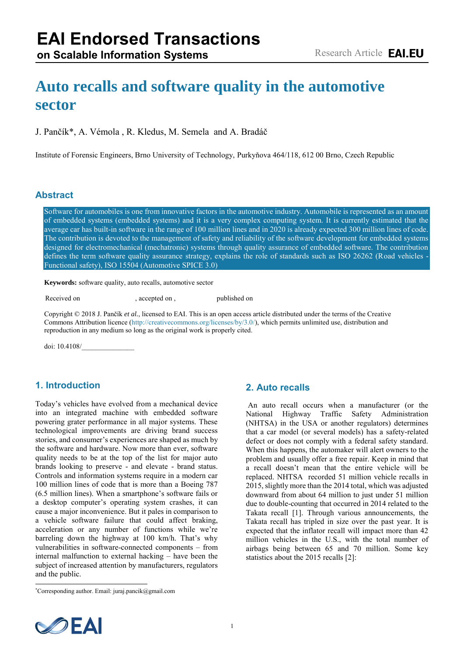# **Auto recalls and software quality in the automotive sector**

## J. Pančík\*, A. Vémola , R. Kledus, M. Semela and A. Bradáč

Institute of Forensic Engineers, Brno University of Technology, Purkyňova 464/118, 612 00 Brno, Czech Republic

#### **Abstract**

Software for automobiles is one from innovative factors in the automotive industry. Automobile is represented as an amount of embedded systems (embedded systems) and it is a very complex computing system. It is currently estimated that the average car has built-in software in the range of 100 million lines and in 2020 is already expected 300 million lines of code. The contribution is devoted to the management of safety and reliability of the software development for embedded systems designed for electromechanical (mechatronic) systems through quality assurance of embedded software. The contribution defines the term software quality assurance strategy, explains the role of standards such as ISO 26262 (Road vehicles - Functional safety), ISO 15504 (Automotive SPICE 3.0)

**Keywords:** software quality, auto recalls, automotive sector

Received on 22 December 2018, accepted on 25 April 2018, published on 29 May 2018

Copyright © 2018 J. Pančík *et al.*, licensed to EAI. This is an open access article distributed under the terms of the Creative Commons Attribution licence [\(http://creativecommons.org/licenses/by/3.0/\)](http://creativecommons.org/licenses/by/3.0/), which permits unlimited use, distribution and reproduction in any medium so long as the original work is properly cited.

doi: 10.4108/\_\_\_\_\_\_\_\_\_\_\_\_\_\_\_

## **1. Introduction**

Today's vehicles have evolved from a mechanical device into an integrated machine with embedded software powering grater performance in all major systems. These technological improvements are driving brand success stories, and consumer's experiences are shaped as much by the software and hardware. Now more than ever, software quality needs to be at the top of the list for major auto brands looking to preserve - and elevate - brand status. Controls and information systems require in a modern car 100 million lines of code that is more than a Boeing 787 (6.5 million lines). When a smartphone's software fails or a desktop computer's operating system crashes, it can cause a major inconvenience. But it pales in comparison to a vehicle software failure that could affect braking, acceleration or any number of functions while we're barreling down the highway at 100 km/h. That's why vulnerabilities in software-connected components – from internal malfunction to external hacking – have been the subject of increased attention by manufacturers, regulators and the public.

\*Corresponding author. Email: juraj.pancik@gmail.com

#### **2. Auto recalls**

 An auto recall occurs when a manufacturer (or the National Highway Traffic Safety Administration (NHTSA) in the USA or another regulators) determines that a car model (or several models) has a safety-related defect or does not comply with a federal safety standard. When this happens, the automaker will alert owners to the problem and usually offer a free repair. Keep in mind that a recall doesn't mean that the entire vehicle will be replaced. NHTSA recorded 51 million vehicle recalls in 2015, slightly more than the 2014 total, which was adjusted downward from about 64 million to just under 51 million due to double-counting that occurred in 2014 related to the Takata recall [1]. Through various announcements, the Takata recall has tripled in size over the past year. It is expected that the inflator recall will impact more than 42 million vehicles in the U.S., with the total number of airbags being between 65 and 70 million. Some key statistics about the 2015 recalls [2]:

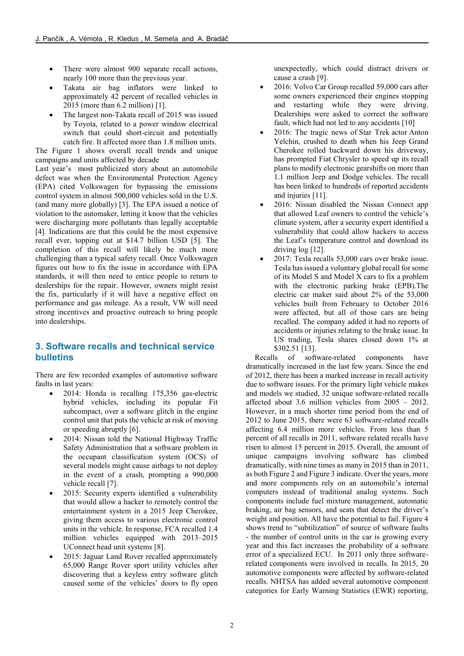- There were almost 900 separate recall actions, nearly 100 more than the previous year.
- Takata air bag inflators were linked to approximately 42 percent of recalled vehicles in 2015 (more than 6.2 million) [1].
- The largest non-Takata recall of 2015 was issued by Toyota, related to a power window electrical switch that could short-circuit and potentially catch fire. It affected more than 1.8 million units.

The Figure 1 shows overall recall trends and unique campaigns and units affected by decade

Last year's most publicized story about an automobile defect was when the Environmental Protection Agency (EPA) cited Volkswagen for bypassing the emissions control system in almost 500,000 vehicles sold in the U.S. (and many more globally) [3]. The EPA issued a notice of violation to the automaker, letting it know that the vehicles were discharging more pollutants than legally acceptable [4]. Indications are that this could be the most expensive recall ever, topping out at \$14.7 billion USD [5]. The completion of this recall will likely be much more challenging than a typical safety recall. Once Volkswagen figures out how to fix the issue in accordance with EPA standards, it will then need to entice people to return to dealerships for the repair. However, owners might resist the fix, particularly if it will have a negative effect on performance and gas mileage. As a result, VW will need strong incentives and proactive outreach to bring people into dealerships.

## **3. Software recalls and technical service bulletins**

There are few recorded examples of automotive software faults in last years:

- 2014: Honda is recalling 175,356 gas-electric hybrid vehicles, including its popular Fit subcompact, over a software glitch in the engine control unit that puts the vehicle at risk of moving or speeding abruptly [6].
- 2014: Nissan told the National Highway Traffic Safety Administration that a software problem in the occupant classification system (OCS) of several models might cause airbags to not deploy in the event of a crash, prompting a 990,000 vehicle recall [7].
- 2015: Security experts identified a vulnerability that would allow a hacker to remotely control the entertainment system in a 2015 Jeep Cherokee, giving them access to various electronic control units in the vehicle. In response, FCA recalled 1.4 million vehicles equipped with 2013–2015 UConnect head unit systems [8].
- 2015: Jaguar Land Rover recalled approximately 65,000 Range Rover sport utility vehicles after discovering that a keyless entry software glitch caused some of the vehicles' doors to fly open

unexpectedly, which could distract drivers or cause a crash [9].

- 2016: Volvo Car Group recalled 59,000 cars after some owners experienced their engines stopping and restarting while they were driving. Dealerships were asked to correct the software fault, which had not led to any accidents [10]
- 2016: The tragic news of Star Trek actor Anton Yelchin, crushed to death when his Jeep Grand Cherokee rolled backward down his driveway, has prompted Fiat Chrysler to speed up its recall plans to modify electronic gearshifts on more than 1.1 million Jeep and Dodge vehicles. The recall has been linked to hundreds of reported accidents and injuries [11].
- 2016: Nissan disabled the Nissan Connect app that allowed Leaf owners to control the vehicle's climate system, after a security expert identified a vulnerability that could allow hackers to access the Leaf's temperature control and download its driving log [12].
- 2017: Tesla recalls 53,000 cars over brake issue. Tesla has issued a voluntary global recall for some of its Model S and Model X cars to fix a problem with the electronic parking brake (EPB).The electric car maker said about 2% of the 53,000 vehicles built from February to October 2016 were affected, but all of those cars are being recalled. The company added it had no reports of accidents or injuries relating to the brake issue. In US trading, Tesla shares closed down 1% at \$302.51 [13].

Recalls of software-related components have dramatically increased in the last few years. Since the end of 2012, there has been a marked increase in recall activity due to software issues. For the primary light vehicle makes and models we studied, 32 unique software-related recalls affected about 3.6 million vehicles from 2005 – 2012. However, in a much shorter time period from the end of 2012 to June 2015, there were 63 software-related recalls affecting 6.4 million more vehicles. From less than 5 percent of all recalls in 2011, software related recalls have risen to almost 15 percent in 2015. Overall, the amount of unique campaigns involving software has climbed dramatically, with nine times as many in 2015 than in 2011, as both Figure 2 and Figure 3 indicate. Over the years, more and more components rely on an automobile's internal computers instead of traditional analog systems. Such components include fuel mixture management, automatic braking, air bag sensors, and seats that detect the driver's weight and position. All have the potential to fail. Figure 4 shows trend to "subtilization" of source of software faults - the number of control units in the car is growing every year and this fact increases the probability of a software error of a specialized ECU. In 2011 only three softwarerelated components were involved in recalls. In 2015, 20 automotive components were affected by software-related recalls. NHTSA has added several automotive component categories for Early Warning Statistics (EWR) reporting,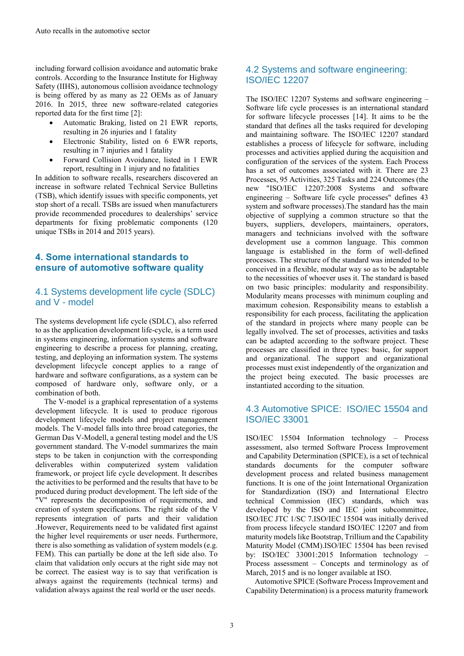including forward collision avoidance and automatic brake controls. According to the Insurance Institute for Highway Safety (IIHS), autonomous collision avoidance technology is being offered by as many as 22 OEMs as of January 2016. In 2015, three new software-related categories reported data for the first time [2]:

- Automatic Braking, listed on 21 EWR reports, resulting in 26 injuries and 1 fatality
- Electronic Stability, listed on 6 EWR reports, resulting in 7 injuries and 1 fatality
- Forward Collision Avoidance, listed in 1 EWR report, resulting in 1 injury and no fatalities

In addition to software recalls, researchers discovered an increase in software related Technical Service Bulletins (TSB), which identify issues with specific components, yet stop short of a recall. TSBs are issued when manufacturers provide recommended procedures to dealerships' service departments for fixing problematic components (120 unique TSBs in 2014 and 2015 years).

## **4. Some international standards to ensure of automotive software quality**

## 4.1 Systems development life cycle (SDLC) and V - model

The systems development life cycle (SDLC), also referred to as the application development life-cycle, is a term used in systems engineering, information systems and software engineering to describe a process for planning, creating, testing, and deploying an information system. The systems development lifecycle concept applies to a range of hardware and software configurations, as a system can be composed of hardware only, software only, or a combination of both.

The V-model is a graphical representation of a systems development lifecycle. It is used to produce rigorous development lifecycle models and project management models. The V-model falls into three broad categories, the German Das V-Modell, a general testing model and the US government standard. The V-model summarizes the main steps to be taken in conjunction with the corresponding deliverables within computerized system validation framework, or project life cycle development. It describes the activities to be performed and the results that have to be produced during product development. The left side of the "V" represents the decomposition of requirements, and creation of system specifications. The right side of the V represents integration of parts and their validation .However, Requirements need to be validated first against the higher level requirements or user needs. Furthermore, there is also something as validation of system models (e.g. FEM). This can partially be done at the left side also. To claim that validation only occurs at the right side may not be correct. The easiest way is to say that verification is always against the requirements (technical terms) and validation always against the real world or the user needs.

## 4.2 Systems and software engineering: ISO/IEC 12207

The ISO/IEC 12207 Systems and software engineering – Software life cycle processes is an international standard for software lifecycle processes [14]. It aims to be the standard that defines all the tasks required for developing and maintaining software. The ISO/IEC 12207 standard establishes a process of lifecycle for software, including processes and activities applied during the acquisition and configuration of the services of the system. Each Process has a set of outcomes associated with it. There are 23 Processes, 95 Activities, 325 Tasks and 224 Outcomes (the new "ISO/IEC 12207:2008 Systems and software engineering – Software life cycle processes" defines 43 system and software processes).The standard has the main objective of supplying a common structure so that the buyers, suppliers, developers, maintainers, operators, managers and technicians involved with the software development use a common language. This common language is established in the form of well-defined processes. The structure of the standard was intended to be conceived in a flexible, modular way so as to be adaptable to the necessities of whoever uses it. The standard is based on two basic principles: modularity and responsibility. Modularity means processes with minimum coupling and maximum cohesion. Responsibility means to establish a responsibility for each process, facilitating the application of the standard in projects where many people can be legally involved. The set of processes, activities and tasks can be adapted according to the software project. These processes are classified in three types: basic, for support and organizational. The support and organizational processes must exist independently of the organization and the project being executed. The basic processes are instantiated according to the situation.

## 4.3 Automotive SPICE: ISO/IEC 15504 and ISO/IEC 33001

ISO/IEC 15504 Information technology – Process assessment, also termed Software Process Improvement and Capability Determination (SPICE), is a set of technical standards documents for the computer software development process and related business management functions. It is one of the joint International Organization for Standardization (ISO) and International Electro technical Commission (IEC) standards, which was developed by the ISO and IEC joint subcommittee, ISO/IEC JTC 1/SC 7.ISO/IEC 15504 was initially derived from process lifecycle standard ISO/IEC 12207 and from maturity models like Bootstrap, Trillium and the Capability Maturity Model (CMM).ISO/IEC 15504 has been revised by: ISO/IEC 33001:2015 Information technology – Process assessment – Concepts and terminology as of March, 2015 and is no longer available at ISO.

Automotive SPICE (Software Process Improvement and Capability Determination) is a process maturity framework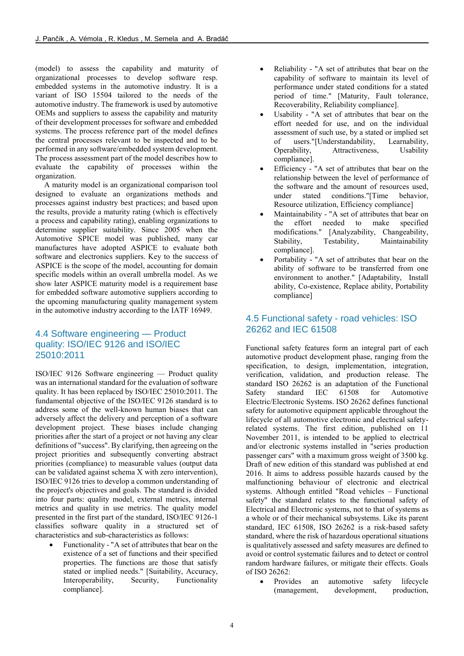(model) to assess the capability and maturity of organizational processes to develop software resp. embedded systems in the automotive industry. It is a variant of ISO 15504 tailored to the needs of the automotive industry. The framework is used by automotive OEMs and suppliers to assess the capability and maturity of their development processes for software and embedded systems. The process reference part of the model defines the central processes relevant to be inspected and to be performed in any software/embedded system development. The process assessment part of the model describes how to evaluate the capability of processes within the organization.

A maturity model is an organizational comparison tool designed to evaluate an organizations methods and processes against industry best practices; and based upon the results, provide a maturity rating (which is effectively a process and capability rating), enabling organizations to determine supplier suitability. Since 2005 when the Automotive SPICE model was published, many car manufactures have adopted ASPICE to evaluate both software and electronics suppliers. Key to the success of ASPICE is the scope of the model, accounting for domain specific models within an overall umbrella model. As we show later ASPICE maturity model is a requirement base for embedded software automotive suppliers according to the upcoming manufacturing quality management system in the automotive industry according to the IATF 16949.

## 4.4 Software engineering — Product quality: ISO/IEC 9126 and ISO/IEC 25010:2011

ISO/IEC 9126 Software engineering — Product quality was an international standard for the evaluation of software quality. It has been replaced by ISO/IEC 25010:2011. The fundamental objective of the ISO/IEC 9126 standard is to address some of the well-known human biases that can adversely affect the delivery and perception of a software development project. These biases include changing priorities after the start of a project or not having any clear definitions of "success". By clarifying, then agreeing on the project priorities and subsequently converting abstract priorities (compliance) to measurable values (output data can be validated against schema X with zero intervention), ISO/IEC 9126 tries to develop a common understanding of the project's objectives and goals. The standard is divided into four parts: quality model, external metrics, internal metrics and quality in use metrics. The quality model presented in the first part of the standard, ISO/IEC 9126-1 classifies software quality in a structured set of characteristics and sub-characteristics as follows:

• Functionality - "A set of attributes that bear on the existence of a set of functions and their specified properties. The functions are those that satisfy stated or implied needs." [Suitability, Accuracy, Interoperability, Security, Functionality compliance].

- Reliability "A set of attributes that bear on the capability of software to maintain its level of performance under stated conditions for a stated period of time." [Maturity, Fault tolerance, Recoverability, Reliability compliance].
- Usability "A set of attributes that bear on the effort needed for use, and on the individual assessment of such use, by a stated or implied set of users."[Understandability, Learnability, Operability, Attractiveness, Usability compliance].
- Efficiency "A set of attributes that bear on the relationship between the level of performance of the software and the amount of resources used, under stated conditions."[Time behavior, Resource utilization, Efficiency compliance]
- Maintainability "A set of attributes that bear on the effort needed to make specified modifications." [Analyzability, Changeability, Stability, Testability, Maintainability compliance].
- Portability "A set of attributes that bear on the ability of software to be transferred from one environment to another." [Adaptability, Install ability, Co-existence, Replace ability, Portability compliance]

## 4.5 Functional safety - road vehicles: ISO 26262 and IEC 61508

Functional safety features form an integral part of each automotive product development phase, ranging from the specification, to design, implementation, integration, verification, validation, and production release. The standard ISO 26262 is an adaptation of the Functional Safety standard IEC 61508 for Automotive Electric/Electronic Systems. ISO 26262 defines functional safety for automotive equipment applicable throughout the lifecycle of all automotive electronic and electrical safetyrelated systems. The first edition, published on 11 November 2011, is intended to be applied to electrical and/or electronic systems installed in "series production passenger cars" with a maximum gross weight of 3500 kg. Draft of new edition of this standard was published at end 2016. It aims to address possible hazards caused by the malfunctioning behaviour of electronic and electrical systems. Although entitled "Road vehicles – Functional safety" the standard relates to the functional safety of Electrical and Electronic systems, not to that of systems as a whole or of their mechanical subsystems. Like its parent standard, IEC 61508, ISO 26262 is a risk-based safety standard, where the risk of hazardous operational situations is qualitatively assessed and safety measures are defined to avoid or control systematic failures and to detect or control random hardware failures, or mitigate their effects. Goals of ISO 26262:

 Provides an automotive safety lifecycle (management, development, production,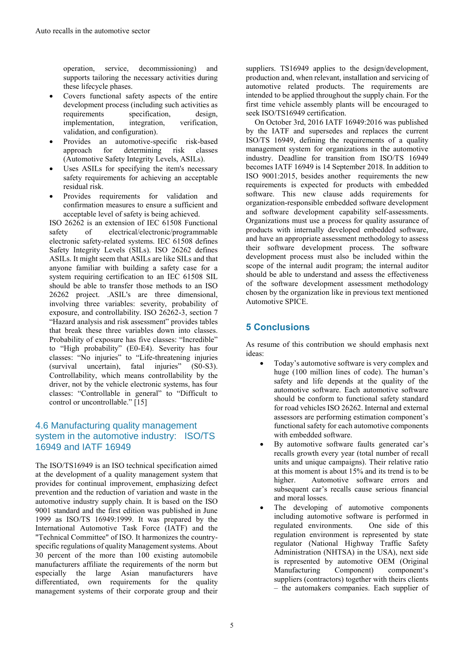operation, service, decommissioning) and supports tailoring the necessary activities during these lifecycle phases.

- Covers functional safety aspects of the entire development process (including such activities as requirements specification, design, implementation, integration, verification, validation, and configuration).
- Provides an automotive-specific risk-based approach for determining risk classes (Automotive Safety Integrity Levels, ASILs).
- Uses ASILs for specifying the item's necessary safety requirements for achieving an acceptable residual risk.
- Provides requirements for validation and confirmation measures to ensure a sufficient and acceptable level of safety is being achieved.

ISO 26262 is an extension of IEC 61508 Functional safety of electrical/electronic/programmable electronic safety-related systems. IEC 61508 defines Safety Integrity Levels (SILs). ISO 26262 defines ASILs. It might seem that ASILs are like SILs and that anyone familiar with building a safety case for a system requiring certification to an IEC 61508 SIL should be able to transfer those methods to an ISO 26262 project. .ASIL's are three dimensional, involving three variables: severity, probability of exposure, and controllability. ISO 26262-3, section 7 "Hazard analysis and risk assessment" provides tables that break these three variables down into classes. Probability of exposure has five classes: "Incredible" to "High probability" (E0-E4). Severity has four classes: "No injuries" to "Life-threatening injuries (survival uncertain), fatal injuries" (S0-S3). Controllability, which means controllability by the driver, not by the vehicle electronic systems, has four classes: "Controllable in general" to "Difficult to control or uncontrollable." [15]

## 4.6 Manufacturing quality management system in the automotive industry: ISO/TS 16949 and IATF 16949

The ISO/TS16949 is an ISO technical specification aimed at the development of a quality management system that provides for continual improvement, emphasizing defect prevention and the reduction of variation and waste in the automotive industry supply chain. It is based on the ISO 9001 standard and the first edition was published in June 1999 as ISO/TS 16949:1999. It was prepared by the International Automotive Task Force (IATF) and the "Technical Committee" of ISO. It harmonizes the countryspecific regulations of quality Management systems. About 30 percent of the more than 100 existing automobile manufacturers affiliate the requirements of the norm but especially the large Asian manufacturers have differentiated, own requirements for the quality management systems of their corporate group and their

suppliers. TS16949 applies to the design/development, production and, when relevant, installation and servicing of automotive related products. The requirements are intended to be applied throughout the supply chain. For the first time vehicle assembly plants will be encouraged to seek ISO/TS16949 certification.

On October 3rd, 2016 IATF 16949:2016 was published by the IATF and supersedes and replaces the current ISO/TS 16949, defining the requirements of a quality management system for organizations in the automotive industry. Deadline for transition from ISO/TS 16949 becomes IATF 16949 is 14 September 2018. In addition to ISO 9001:2015, besides another requirements the new requirements is expected for products with embedded software. This new clause adds requirements for organization-responsible embedded software development and software development capability self-assessments. Organizations must use a process for quality assurance of products with internally developed embedded software, and have an appropriate assessment methodology to assess their software development process. The software development process must also be included within the scope of the internal audit program; the internal auditor should be able to understand and assess the effectiveness of the software development assessment methodology chosen by the organization like in previous text mentioned Automotive SPICE.

# **5 Conclusions**

As resume of this contribution we should emphasis next ideas:

- Today's automotive software is very complex and huge (100 million lines of code). The human's safety and life depends at the quality of the automotive software. Each automotive software should be conform to functional safety standard for road vehicles ISO 26262. Internal and external assessors are performing estimation component's functional safety for each automotive components with embedded software.
- By automotive software faults generated car's recalls growth every year (total number of recall units and unique campaigns). Their relative ratio at this moment is about 15% and its trend is to be higher. Automotive software errors and subsequent car's recalls cause serious financial and moral losses.
- The developing of automotive components including automotive software is performed in regulated environments. One side of this regulation environment is represented by state regulator (National Highway Traffic Safety Administration (NHTSA) in the USA), next side is represented by automotive OEM (Original Manufacturing Component) component's suppliers (contractors) together with theirs clients – the automakers companies. Each supplier of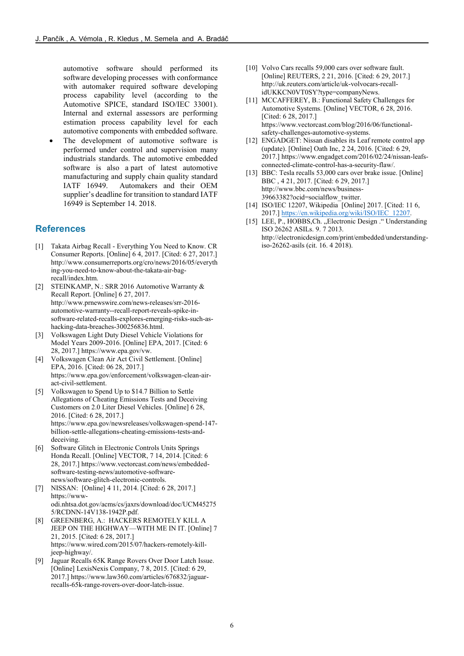automotive software should performed its software developing processes with conformance with automaker required software developing process capability level (according to the Automotive SPICE, standard ISO/IEC 33001). Internal and external assessors are performing estimation process capability level for each automotive components with embedded software.

 The development of automotive software is performed under control and supervision many industrials standards. The automotive embedded software is also a part of latest automotive manufacturing and supply chain quality standard IATF 16949. Automakers and their OEM supplier's deadline for transition to standard IATF 16949 is September 14. 2018.

## **References**

- [1] Takata Airbag Recall Everything You Need to Know. CR Consumer Reports. [Online] 6 4, 2017. [Cited: 6 27, 2017.] http://www.consumerreports.org/cro/news/2016/05/everyth ing-you-need-to-know-about-the-takata-air-bagrecall/index.htm.
- [2] STEINKAMP, N.: SRR 2016 Automotive Warranty & Recall Report. [Online] 6 27, 2017. http://www.prnewswire.com/news-releases/srr-2016 automotive-warranty--recall-report-reveals-spike-insoftware-related-recalls-explores-emerging-risks-such-ashacking-data-breaches-300256836.html.
- [3] Volkswagen Light Duty Diesel Vehicle Violations for Model Years 2009-2016. [Online] EPA, 2017. [Cited: 6 28, 2017.] https://www.epa.gov/vw.
- [4] Volkswagen Clean Air Act Civil Settlement. [Online] EPA, 2016. [Cited: 06 28, 2017.] https://www.epa.gov/enforcement/volkswagen-clean-airact-civil-settlement.
- [5] Volkswagen to Spend Up to \$14.7 Billion to Settle Allegations of Cheating Emissions Tests and Deceiving Customers on 2.0 Liter Diesel Vehicles. [Online] 6 28, 2016. [Cited: 6 28, 2017.] https://www.epa.gov/newsreleases/volkswagen-spend-147 billion-settle-allegations-cheating-emissions-tests-anddeceiving.
- [6] Software Glitch in Electronic Controls Units Springs Honda Recall. [Online] VECTOR, 7 14, 2014. [Cited: 6 28, 2017.] https://www.vectorcast.com/news/embeddedsoftware-testing-news/automotive-softwarenews/software-glitch-electronic-controls.
- [7] NISSAN: [Online] 4 11, 2014. [Cited: 6 28, 2017.] https://wwwodi.nhtsa.dot.gov/acms/cs/jaxrs/download/doc/UCM45275 5/RCDNN-14V138-1942P.pdf.
- [8] GREENBERG, A.: HACKERS REMOTELY KILL A JEEP ON THE HIGHWAY—WITH ME IN IT. [Online] 7 21, 2015. [Cited: 6 28, 2017.] https://www.wired.com/2015/07/hackers-remotely-killjeep-highway/.
- [9] Jaguar Recalls 65K Range Rovers Over Door Latch Issue. [Online] LexisNexis Company, 7 8, 2015. [Cited: 6 29, 2017.] https://www.law360.com/articles/676832/jaguarrecalls-65k-range-rovers-over-door-latch-issue.
- [10] Volvo Cars recalls 59,000 cars over software fault. [Online] REUTERS, 2 21, 2016. [Cited: 6 29, 2017.] http://uk.reuters.com/article/uk-volvocars-recallidUKKCN0VT0SY?type=companyNews.
- [11] MCCAFFEREY, B.: Functional Safety Challenges for Automotive Systems. [Online] VECTOR, 6 28, 2016. [Cited: 6 28, 2017.] https://www.vectorcast.com/blog/2016/06/functionalsafety-challenges-automotive-systems.
- [12] ENGADGET: Nissan disables its Leaf remote control app (update). [Online] Oath Inc, 2 24, 2016. [Cited: 6 29, 2017.] https://www.engadget.com/2016/02/24/nissan-leafsconnected-climate-control-has-a-security-flaw/.
- [13] BBC: Tesla recalls 53,000 cars over brake issue. [Online] BBC , 4 21, 2017. [Cited: 6 29, 2017.] http://www.bbc.com/news/business-39663382?ocid=socialflow\_twitter.
- [14] ISO/IEC 12207, Wikipedia [Online] 2017. [Cited: 11 6, 2017.] [https://en.wikipedia.org/wiki/ISO/IEC\\_12207.](https://en.wikipedia.org/wiki/ISO/IEC_12207)
- [15] LEE, P., HOBBS, Ch. "Electronic Design ." Understanding ISO 26262 ASILs. 9. 7 2013. http://electronicdesign.com/print/embedded/understandingiso-26262-asils (cit. 16. 4 2018).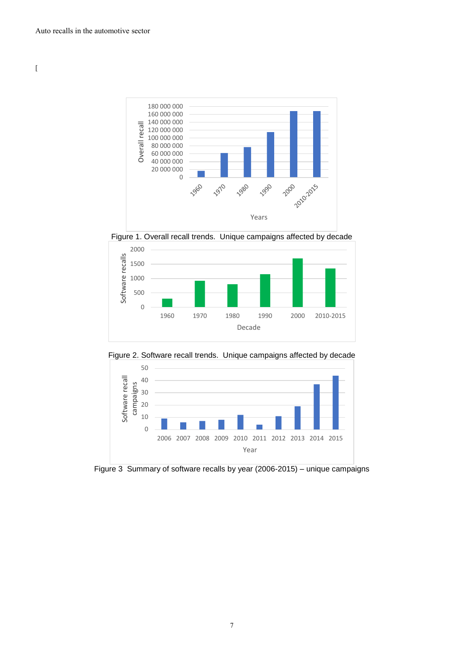

Figure 1. Overall recall trends. Unique campaigns affected by decade



Figure 2. Software recall trends. Unique campaigns affected by decade



Figure 3 Summary of software recalls by year (2006-2015) – unique campaigns